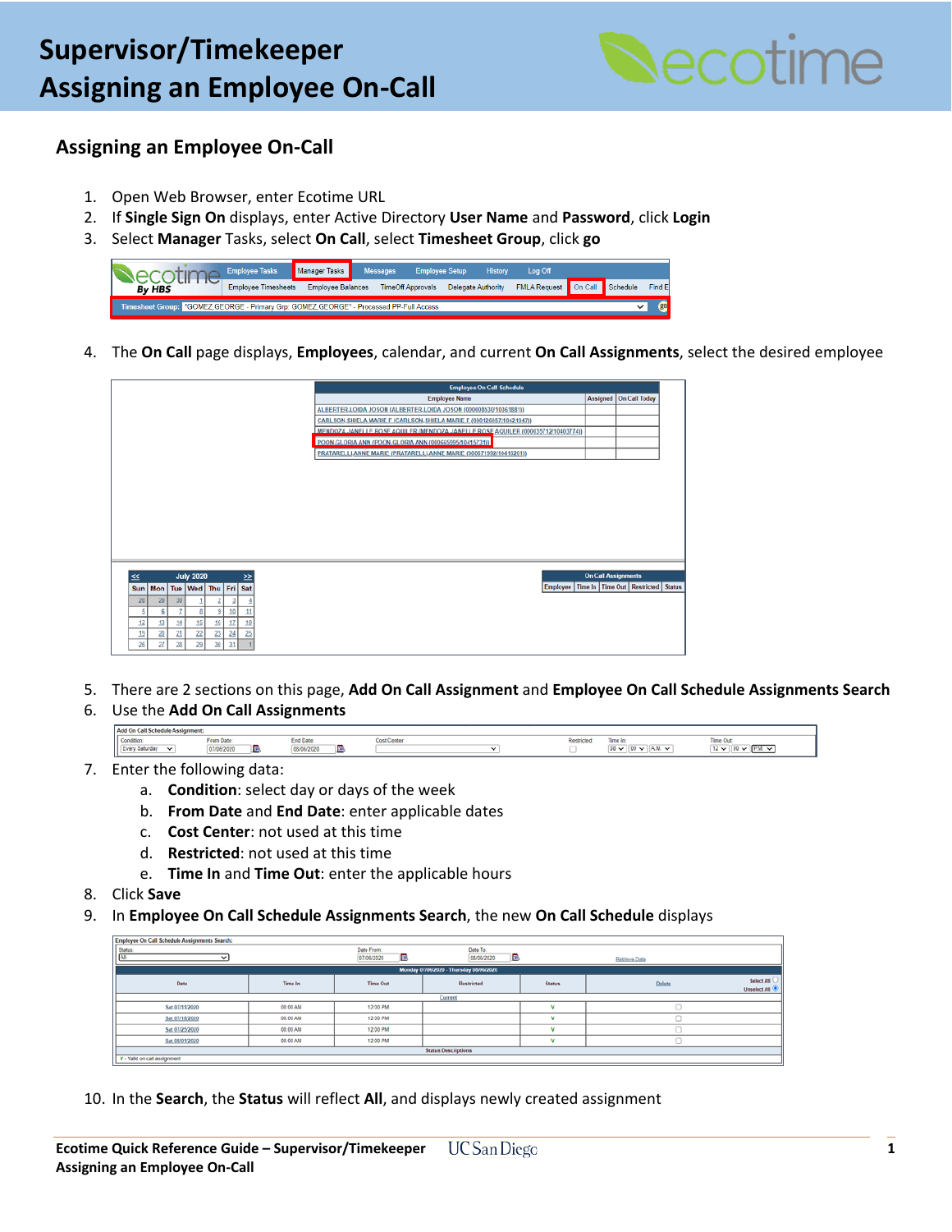

## **Assigning an Employee On-Call**

- 1. Open Web Browser, enter Ecotime URL
- 2. If **Single Sign On** displays, enter Active Directory **User Name** and **Password**, click **Login**
- 3. Select **Manager** Tasks, select **On Call**, select **Timesheet Group**, click **go**



4. The **On Call** page displays, **Employees**, calendar, and current **On Call Assignments**, select the desired employee

|                        |                                         |    |    |    |    |               |  | <b>Employee On Call Schedule</b>                                                   |                            |                                                     |  |  |  |
|------------------------|-----------------------------------------|----|----|----|----|---------------|--|------------------------------------------------------------------------------------|----------------------------|-----------------------------------------------------|--|--|--|
|                        |                                         |    |    |    |    |               |  | <b>Employee Name</b>                                                               |                            | Assigned   On Call Today                            |  |  |  |
|                        |                                         |    |    |    |    |               |  | ALBERTER.LOIDA JOSON (ALBERTER.LOIDA JOSON (000008530/10361881))                   |                            |                                                     |  |  |  |
|                        |                                         |    |    |    |    |               |  | CARLSON.SHIELA MARIE F (CARLSON, SHIELA MARIE F (000126057/10421047))              |                            |                                                     |  |  |  |
|                        |                                         |    |    |    |    |               |  | MENDOZA, JANELLE ROSE AQUILER (MENDOZA, JANELLE ROSE AQUILER (000035712/10403774)) |                            |                                                     |  |  |  |
|                        |                                         |    |    |    |    |               |  | POON.GLORIA ANN (POON.GLORIA ANN (000665995/10415731))                             |                            |                                                     |  |  |  |
|                        |                                         |    |    |    |    |               |  | PRATARELLI.ANNE MARIE (PRATARELLI.ANNE MARIE (000671992/10416201))                 |                            |                                                     |  |  |  |
|                        |                                         |    |    |    |    |               |  |                                                                                    |                            |                                                     |  |  |  |
|                        |                                         |    |    |    |    |               |  |                                                                                    |                            |                                                     |  |  |  |
|                        |                                         |    |    |    |    |               |  |                                                                                    |                            |                                                     |  |  |  |
|                        |                                         |    |    |    |    |               |  |                                                                                    |                            |                                                     |  |  |  |
|                        |                                         |    |    |    |    |               |  |                                                                                    |                            |                                                     |  |  |  |
|                        |                                         |    |    |    |    |               |  |                                                                                    |                            |                                                     |  |  |  |
|                        |                                         |    |    |    |    |               |  |                                                                                    |                            |                                                     |  |  |  |
|                        |                                         |    |    |    |    |               |  |                                                                                    |                            |                                                     |  |  |  |
|                        |                                         |    |    |    |    |               |  |                                                                                    |                            |                                                     |  |  |  |
| <b>July 2020</b><br>≤≤ |                                         |    |    |    |    | ≥≥            |  |                                                                                    | <b>On Call Assignments</b> |                                                     |  |  |  |
|                        | Sun   Mon   Tue   Wed   Thu   Fri   Sat |    |    |    |    |               |  |                                                                                    |                            | Employee   Time In   Time Out   Restricted   Status |  |  |  |
| 28                     | 29                                      | 30 |    |    |    |               |  |                                                                                    |                            |                                                     |  |  |  |
| 5                      | 6                                       | z  | t  | 9  | 10 | $\mathbf{11}$ |  |                                                                                    |                            |                                                     |  |  |  |
| 12                     | 13                                      | 14 | 15 | 16 | 17 | 18            |  |                                                                                    |                            |                                                     |  |  |  |
| 19                     | 20                                      | 21 | 22 | 23 | 24 | 25            |  |                                                                                    |                            |                                                     |  |  |  |
|                        |                                         |    |    |    |    |               |  |                                                                                    |                            |                                                     |  |  |  |
| 26                     | 27                                      | 28 | 29 | 30 | 31 |               |  |                                                                                    |                            |                                                     |  |  |  |

- 5. There are 2 sections on this page, **Add On Call Assignment** and **Employee On Call Schedule Assignments Search**
- 6. Use the **Add On Call Assignments**

| <b>I Add to</b> |                   |                |   |            |        |  |  |  |                                       |  |  |
|-----------------|-------------------|----------------|---|------------|--------|--|--|--|---------------------------------------|--|--|
|                 | <b>CONTRACTOR</b> |                |   |            |        |  |  |  |                                       |  |  |
|                 | Condition         | <b>NOVZUZU</b> | - | 08/06/2020 | п<br>_ |  |  |  | <b>THE WELL</b><br>$\sim$ 1<br>$\sim$ |  |  |
|                 |                   |                |   |            |        |  |  |  |                                       |  |  |

- 7. Enter the following data:
	- a. **Condition**: select day or days of the week
	- b. **From Date** and **End Date**: enter applicable dates
	- c. **Cost Center**: not used at this time
	- d. **Restricted**: not used at this time
	- e. **Time In** and **Time Out**: enter the applicable hours
- 8. Click **Save**
- 9. In **Employee On Call Schedule Assignments Search**, the new **On Call Schedule** displays

| Employee On Call Schedule Assignments Search: |          |                               |                             |                |               |                            |  |  |  |  |
|-----------------------------------------------|----------|-------------------------------|-----------------------------|----------------|---------------|----------------------------|--|--|--|--|
| Status:<br>All<br>$\check{}$                  |          | Date From:<br>R<br>07/06/2020 | Date To:<br>B<br>08/06/2020 |                | Retrieve Data |                            |  |  |  |  |
| Monday 07/06/2020 - Thursday 08/06/2020       |          |                               |                             |                |               |                            |  |  |  |  |
| Time In<br>Date                               |          | <b>Time Out</b>               | Restricted                  | <b>Status</b>  | <b>Delete</b> | Select All<br>Unselect All |  |  |  |  |
| Current                                       |          |                               |                             |                |               |                            |  |  |  |  |
| Sat 07/11/2020                                | 08:00 AM | 12:00 PM                      |                             | 3.6            |               |                            |  |  |  |  |
| Sat 07/18/2020                                | 08:00 AM | 12:00 PM                      |                             | $\mathbf{v}$   |               |                            |  |  |  |  |
| Sat 07/25/2020                                | 08:00 AM | 12:00 PM                      |                             | $\overline{u}$ |               |                            |  |  |  |  |
| Sat 08/01/2020                                | 08:00 AM | 12:00 PM                      |                             |                |               |                            |  |  |  |  |
| <b>Status Descriptions</b>                    |          |                               |                             |                |               |                            |  |  |  |  |
| V - Valid on call assignment                  |          |                               |                             |                |               |                            |  |  |  |  |

10. In the **Search**, the **Status** will reflect **All**, and displays newly created assignment